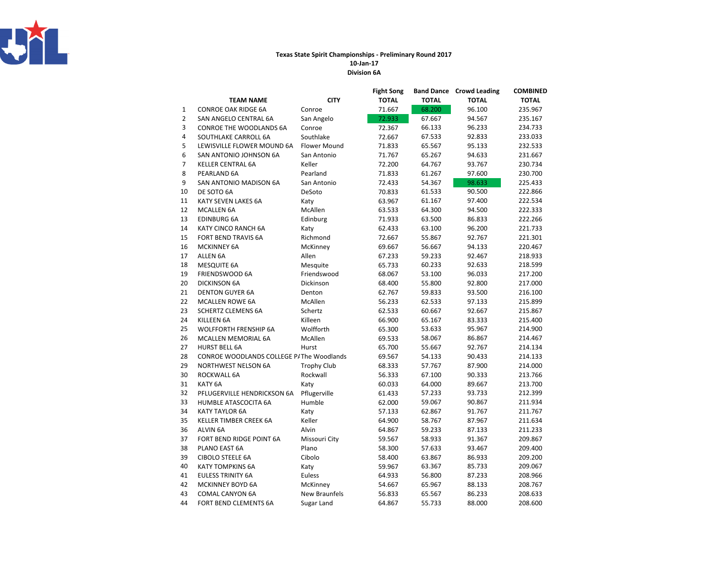

## Texas State Spirit Championships - Preliminary Round 2017

Division 6A10-Jan-17

|                |                                          |                     | <b>Fight Song</b> | <b>Band Dance</b> | <b>Crowd Leading</b> | COMBINED     |
|----------------|------------------------------------------|---------------------|-------------------|-------------------|----------------------|--------------|
|                | <b>TEAM NAME</b>                         | <b>CITY</b>         | <b>TOTAL</b>      | <b>TOTAL</b>      | <b>TOTAL</b>         | <b>TOTAL</b> |
| 1              | <b>CONROE OAK RIDGE 6A</b>               | Conroe              | 71.667            | 68.200            | 96.100               | 235.967      |
| $\overline{2}$ | SAN ANGELO CENTRAL 6A                    | San Angelo          | 72.933            | 67.667            | 94.567               | 235.167      |
| 3              | CONROE THE WOODLANDS 6A                  | Conroe              | 72.367            | 66.133            | 96.233               | 234.733      |
| 4              | SOUTHLAKE CARROLL 6A                     | Southlake           | 72.667            | 67.533            | 92.833               | 233.033      |
| 5              | LEWISVILLE FLOWER MOUND 6A               | <b>Flower Mound</b> | 71.833            | 65.567            | 95.133               | 232.533      |
| 6              | SAN ANTONIO JOHNSON 6A                   | San Antonio         | 71.767            | 65.267            | 94.633               | 231.667      |
| 7              | KELLER CENTRAL 6A                        | Keller              | 72.200            | 64.767            | 93.767               | 230.734      |
| 8              | PEARLAND 6A                              | Pearland            | 71.833            | 61.267            | 97.600               | 230.700      |
| 9              | SAN ANTONIO MADISON 6A                   | San Antonio         | 72.433            | 54.367            | 98.633               | 225.433      |
| 10             | DE SOTO 6A                               | DeSoto              | 70.833            | 61.533            | 90.500               | 222.866      |
| 11             | KATY SEVEN LAKES 6A                      | Katy                | 63.967            | 61.167            | 97.400               | 222.534      |
| 12             | <b>MCALLEN 6A</b>                        | McAllen             | 63.533            | 64.300            | 94.500               | 222.333      |
| 13             | <b>EDINBURG 6A</b>                       | Edinburg            | 71.933            | 63.500            | 86.833               | 222.266      |
| 14             | KATY CINCO RANCH 6A                      | Katy                | 62.433            | 63.100            | 96.200               | 221.733      |
| 15             | FORT BEND TRAVIS 6A                      | Richmond            | 72.667            | 55.867            | 92.767               | 221.301      |
| 16             | <b>MCKINNEY 6A</b>                       | McKinney            | 69.667            | 56.667            | 94.133               | 220.467      |
| 17             | ALLEN 6A                                 | Allen               | 67.233            | 59.233            | 92.467               | 218.933      |
| 18             | <b>MESQUITE 6A</b>                       | Mesquite            | 65.733            | 60.233            | 92.633               | 218.599      |
| 19             | FRIENDSWOOD 6A                           | Friendswood         | 68.067            | 53.100            | 96.033               | 217.200      |
| 20             | <b>DICKINSON 6A</b>                      | Dickinson           | 68.400            | 55.800            | 92.800               | 217.000      |
| 21             | <b>DENTON GUYER 6A</b>                   | Denton              | 62.767            | 59.833            | 93.500               | 216.100      |
| 22             | <b>MCALLEN ROWE 6A</b>                   | McAllen             | 56.233            | 62.533            | 97.133               | 215.899      |
| 23             | <b>SCHERTZ CLEMENS 6A</b>                | Schertz             | 62.533            | 60.667            | 92.667               | 215.867      |
| 24             | KILLEEN 6A                               | Killeen             | 66.900            | 65.167            | 83.333               | 215.400      |
| 25             | <b>WOLFFORTH FRENSHIP 6A</b>             | Wolfforth           | 65.300            | 53.633            | 95.967               | 214.900      |
| 26             | MCALLEN MEMORIAL 6A                      | McAllen             | 69.533            | 58.067            | 86.867               | 214.467      |
| 27             | <b>HURST BELL 6A</b>                     | Hurst               | 65.700            | 55.667            | 92.767               | 214.134      |
| 28             | CONROE WOODLANDS COLLEGE P/The Woodlands |                     | 69.567            | 54.133            | 90.433               | 214.133      |
| 29             | <b>NORTHWEST NELSON 6A</b>               | <b>Trophy Club</b>  | 68.333            | 57.767            | 87.900               | 214.000      |
| 30             | ROCKWALL 6A                              | Rockwall            | 56.333            | 67.100            | 90.333               | 213.766      |
| 31             | KATY <sub>6A</sub>                       | Katy                | 60.033            | 64.000            | 89.667               | 213.700      |
| 32             | PFLUGERVILLE HENDRICKSON 6A              | Pflugerville        | 61.433            | 57.233            | 93.733               | 212.399      |
| 33             | HUMBLE ATASCOCITA 6A                     | Humble              | 62.000            | 59.067            | 90.867               | 211.934      |
| 34             | <b>KATY TAYLOR 6A</b>                    | Katy                | 57.133            | 62.867            | 91.767               | 211.767      |
| 35             | <b>KELLER TIMBER CREEK 6A</b>            | Keller              | 64.900            | 58.767            | 87.967               | 211.634      |
| 36             | ALVIN 6A                                 | Alvin               | 64.867            | 59.233            | 87.133               | 211.233      |
| 37             | FORT BEND RIDGE POINT 6A                 | Missouri City       | 59.567            | 58.933            | 91.367               | 209.867      |
| 38             | PLANO EAST 6A                            | Plano               | 58.300            | 57.633            | 93.467               | 209.400      |
| 39             | CIBOLO STEELE 6A                         | Cibolo              | 58.400            | 63.867            | 86.933               | 209.200      |
| 40             | <b>KATY TOMPKINS 6A</b>                  | Katy                | 59.967            | 63.367            | 85.733               | 209.067      |
| 41             | <b>EULESS TRINITY 6A</b>                 | Euless              | 64.933            | 56.800            | 87.233               | 208.966      |
| 42             | <b>MCKINNEY BOYD 6A</b>                  | McKinney            | 54.667            | 65.967            | 88.133               | 208.767      |
| 43             | <b>COMAL CANYON 6A</b>                   | New Braunfels       | 56.833            | 65.567            | 86.233               | 208.633      |
| 44             | <b>FORT BEND CLEMENTS 6A</b>             | Sugar Land          | 64.867            | 55.733            | 88.000               | 208.600      |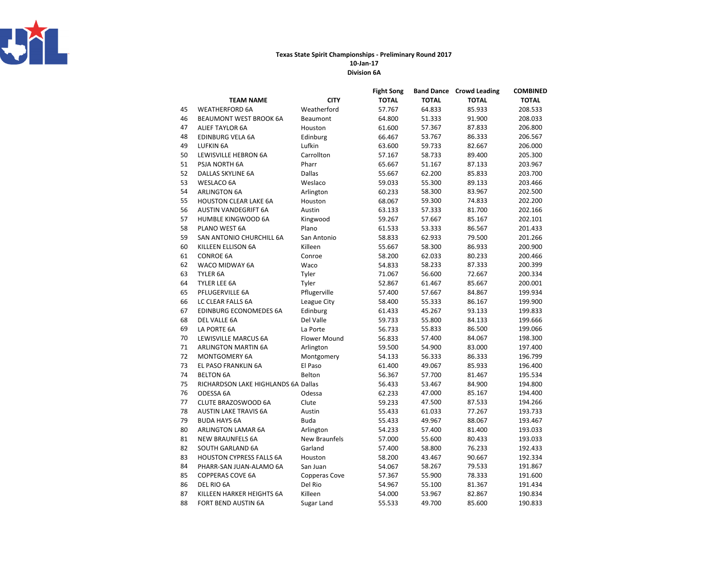

## Texas State Spirit Championships - Preliminary Round 2017

Division 6A 10-Jan-17

|    |                                     |               | <b>Fight Song</b> | <b>Band Dance</b> | <b>Crowd Leading</b> | <b>COMBINED</b> |
|----|-------------------------------------|---------------|-------------------|-------------------|----------------------|-----------------|
|    | <b>TEAM NAME</b>                    | <b>CITY</b>   | <b>TOTAL</b>      | <b>TOTAL</b>      | <b>TOTAL</b>         | <b>TOTAL</b>    |
| 45 | <b>WEATHERFORD 6A</b>               | Weatherford   | 57.767            | 64.833            | 85.933               | 208.533         |
| 46 | <b>BEAUMONT WEST BROOK 6A</b>       | Beaumont      | 64.800            | 51.333            | 91.900               | 208.033         |
| 47 | <b>ALIEF TAYLOR 6A</b>              | Houston       | 61.600            | 57.367            | 87.833               | 206.800         |
| 48 | EDINBURG VELA 6A                    | Edinburg      | 66.467            | 53.767            | 86.333               | 206.567         |
| 49 | <b>LUFKIN 6A</b>                    | Lufkin        | 63.600            | 59.733            | 82.667               | 206.000         |
| 50 | LEWISVILLE HEBRON 6A                | Carrollton    | 57.167            | 58.733            | 89.400               | 205.300         |
| 51 | PSJA NORTH 6A                       | Pharr         | 65.667            | 51.167            | 87.133               | 203.967         |
| 52 | DALLAS SKYLINE 6A                   | <b>Dallas</b> | 55.667            | 62.200            | 85.833               | 203.700         |
| 53 | <b>WESLACO 6A</b>                   | Weslaco       | 59.033            | 55.300            | 89.133               | 203.466         |
| 54 | <b>ARLINGTON 6A</b>                 | Arlington     | 60.233            | 58.300            | 83.967               | 202.500         |
| 55 | <b>HOUSTON CLEAR LAKE 6A</b>        | Houston       | 68.067            | 59.300            | 74.833               | 202.200         |
| 56 | AUSTIN VANDEGRIFT 6A                | Austin        | 63.133            | 57.333            | 81.700               | 202.166         |
| 57 | <b>HUMBLE KINGWOOD 6A</b>           | Kingwood      | 59.267            | 57.667            | 85.167               | 202.101         |
| 58 | PLANO WEST 6A                       | Plano         | 61.533            | 53.333            | 86.567               | 201.433         |
| 59 | SAN ANTONIO CHURCHILL 6A            | San Antonio   | 58.833            | 62.933            | 79.500               | 201.266         |
| 60 | KILLEEN ELLISON 6A                  | Killeen       | 55.667            | 58.300            | 86.933               | 200.900         |
| 61 | <b>CONROE 6A</b>                    | Conroe        | 58.200            | 62.033            | 80.233               | 200.466         |
| 62 | WACO MIDWAY 6A                      | Waco          | 54.833            | 58.233            | 87.333               | 200.399         |
| 63 | TYLER 6A                            | Tyler         | 71.067            | 56.600            | 72.667               | 200.334         |
| 64 | TYLER LEE 6A                        | Tyler         | 52.867            | 61.467            | 85.667               | 200.001         |
| 65 | PFLUGERVILLE 6A                     | Pflugerville  | 57.400            | 57.667            | 84.867               | 199.934         |
| 66 | LC CLEAR FALLS 6A                   | League City   | 58.400            | 55.333            | 86.167               | 199.900         |
| 67 | EDINBURG ECONOMEDES 6A              | Edinburg      | 61.433            | 45.267            | 93.133               | 199.833         |
| 68 | DEL VALLE 6A                        | Del Valle     | 59.733            | 55.800            | 84.133               | 199.666         |
| 69 | LA PORTE 6A                         | La Porte      | 56.733            | 55.833            | 86.500               | 199.066         |
| 70 | LEWISVILLE MARCUS 6A                | Flower Mound  | 56.833            | 57.400            | 84.067               | 198.300         |
| 71 | <b>ARLINGTON MARTIN 6A</b>          | Arlington     | 59.500            | 54.900            | 83.000               | 197.400         |
| 72 | <b>MONTGOMERY 6A</b>                | Montgomery    | 54.133            | 56.333            | 86.333               | 196.799         |
| 73 | EL PASO FRANKLIN 6A                 | El Paso       | 61.400            | 49.067            | 85.933               | 196.400         |
| 74 | <b>BELTON 6A</b>                    | Belton        | 56.367            | 57.700            | 81.467               | 195.534         |
| 75 | RICHARDSON LAKE HIGHLANDS 6A Dallas |               | 56.433            | 53.467            | 84.900               | 194.800         |
| 76 | ODESSA 6A                           | Odessa        | 62.233            | 47.000            | 85.167               | 194.400         |
| 77 | CLUTE BRAZOSWOOD 6A                 | Clute         | 59.233            | 47.500            | 87.533               | 194.266         |
| 78 | <b>AUSTIN LAKE TRAVIS 6A</b>        | Austin        | 55.433            | 61.033            | 77.267               | 193.733         |
| 79 | <b>BUDA HAYS 6A</b>                 | <b>Buda</b>   | 55.433            | 49.967            | 88.067               | 193.467         |
| 80 | ARLINGTON LAMAR 6A                  | Arlington     | 54.233            | 57.400            | 81.400               | 193.033         |
| 81 | <b>NEW BRAUNFELS 6A</b>             | New Braunfels | 57.000            | 55.600            | 80.433               | 193.033         |
| 82 | <b>SOUTH GARLAND 6A</b>             | Garland       | 57.400            | 58.800            | 76.233               | 192.433         |
| 83 | <b>HOUSTON CYPRESS FALLS 6A</b>     | Houston       | 58.200            | 43.467            | 90.667               | 192.334         |
| 84 | PHARR-SAN JUAN-ALAMO 6A             | San Juan      | 54.067            | 58.267            | 79.533               | 191.867         |
| 85 | <b>COPPERAS COVE 6A</b>             | Copperas Cove | 57.367            | 55.900            | 78.333               | 191.600         |
| 86 | DEL RIO 6A                          | Del Rio       | 54.967            | 55.100            | 81.367               | 191.434         |
| 87 | KILLEEN HARKER HEIGHTS 6A           | Killeen       | 54.000            | 53.967            | 82.867               | 190.834         |
| 88 | <b>FORT BEND AUSTIN 6A</b>          | Sugar Land    | 55.533            | 49.700            | 85.600               | 190.833         |